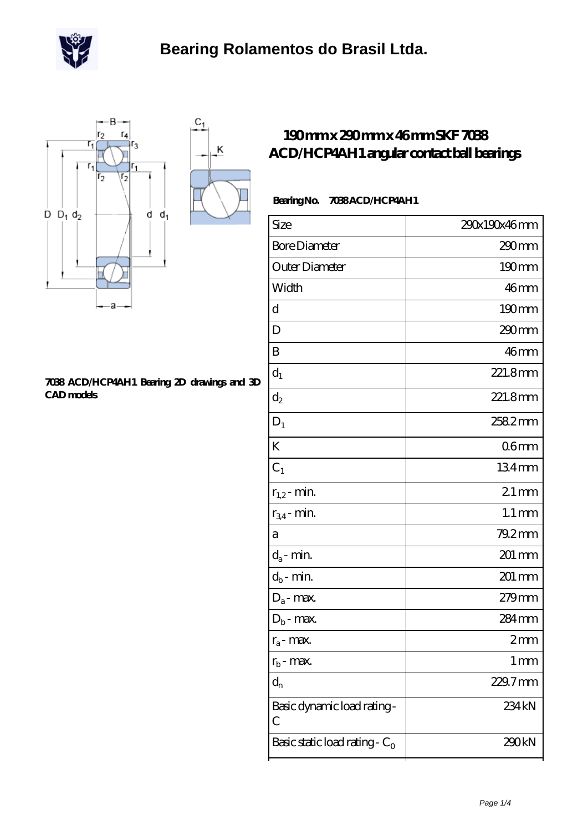



#### **[7038 ACD/HCP4AH1 Bearing 2D drawings and 3D](https://m.scottrobertalexander.com/pic-539746.html) [CAD models](https://m.scottrobertalexander.com/pic-539746.html)**

### **[190 mm x 290 mm x 46 mm SKF 7038](https://m.scottrobertalexander.com/skf-7038-acd-hcp4ah1-bearing/) [ACD/HCP4AH1 angular contact ball bearings](https://m.scottrobertalexander.com/skf-7038-acd-hcp4ah1-bearing/)**

### **Bearing No. 7038 ACD/HCP4AH1**

| Size                             | 290x190x46mm       |
|----------------------------------|--------------------|
| <b>Bore Diameter</b>             | 290mm              |
| Outer Diameter                   | 190mm              |
| Width                            | 46mm               |
| d                                | $190 \text{mm}$    |
| D                                | 290mm              |
| B                                | 46 <sub>mm</sub>   |
| $\mathbf{d}_1$                   | 221.8mm            |
| $\mathrm{d}_2$                   | 221.8mm            |
| $\mathbf{D}_1$                   | 2582mm             |
| K                                | 06 <sub>mm</sub>   |
| $C_1$                            | 134mm              |
| $r_{1,2}$ - min.                 | $21$ mm            |
| $r_{34}$ - min.                  | $1.1 \, \text{mm}$ |
| a                                | 79.2mm             |
| $d_a$ - min.                     | 201 mm             |
| $d_b$ - min.                     | 201 mm             |
| $D_a$ - max.                     | 279 <sub>mm</sub>  |
| $D_b$ - max.                     | 284 mm             |
| $r_a$ - max.                     | 2mm                |
| $r_{b}$ - max.                   | $1 \,\mathrm{mm}$  |
| $d_{n}$                          | $229.7$ mm         |
| Basic dynamic load rating-<br>С  | 234 <sub>kN</sub>  |
| Basic static load rating - $C_0$ | 290kN              |
|                                  |                    |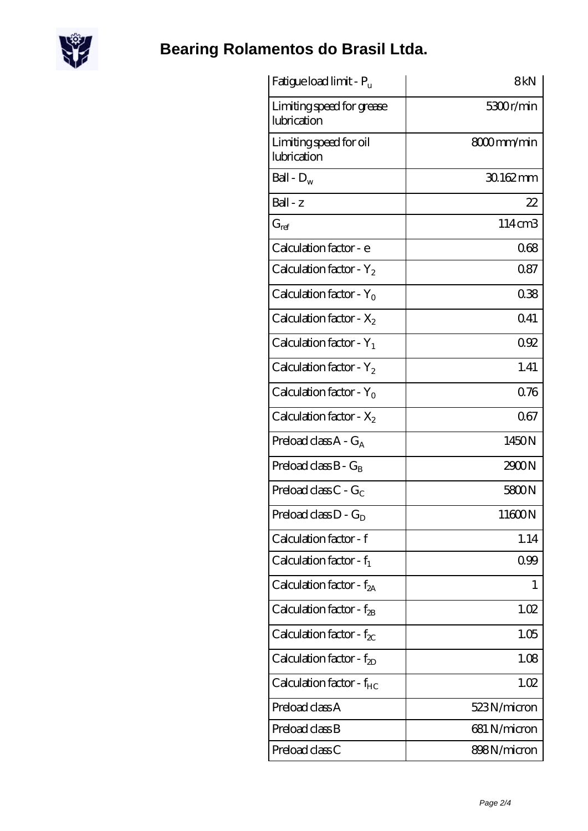

# **[Bearing Rolamentos do Brasil Ltda.](https://m.scottrobertalexander.com)**

| Fatigue load limit - Pu                  | 8kN          |
|------------------------------------------|--------------|
| Limiting speed for grease<br>lubrication | 5300r/min    |
| Limiting speed for oil<br>lubrication    | 8000mm/min   |
| Ball - $D_w$                             | 30.162mm     |
| $Ball - z$                               | 22           |
| $G_{ref}$                                | 114cm3       |
| Calculation factor - e                   | 068          |
| Calculation factor - $Y_2$               | 087          |
| Calculation factor - $Y_0$               | 038          |
| Calculation factor - $X_2$               | 0.41         |
| Calculation factor - $Y_1$               | 092          |
| Calculation factor - $Y_2$               | 1.41         |
| Calculation factor - $Y_0$               | 0.76         |
| Calculation factor - $X_2$               | 067          |
| Preload class $A - G_A$                  | 1450N        |
| Preload class $B - G_B$                  | 2900N        |
| Preload class C - $G_C$                  | 5800N        |
| Preload class $D - G_D$                  | 11600N       |
| Calculation factor - f                   | 1.14         |
| Calculation factor - $f_1$               | 0.99         |
| Calculation factor - $f_{2A}$            | 1            |
| Calculation factor - $f_{\rm 2B}$        | 1.02         |
| Calculation factor - $f_{\chi}$          | 1.05         |
| Calculation factor - $f_{2D}$            | 1.08         |
| Calculation factor - $f_{HC}$            | 1.02         |
| Preload class A                          | 523N/micron  |
| Preload class B                          | 681 N/micron |
| Preload class C                          | 898N/micron  |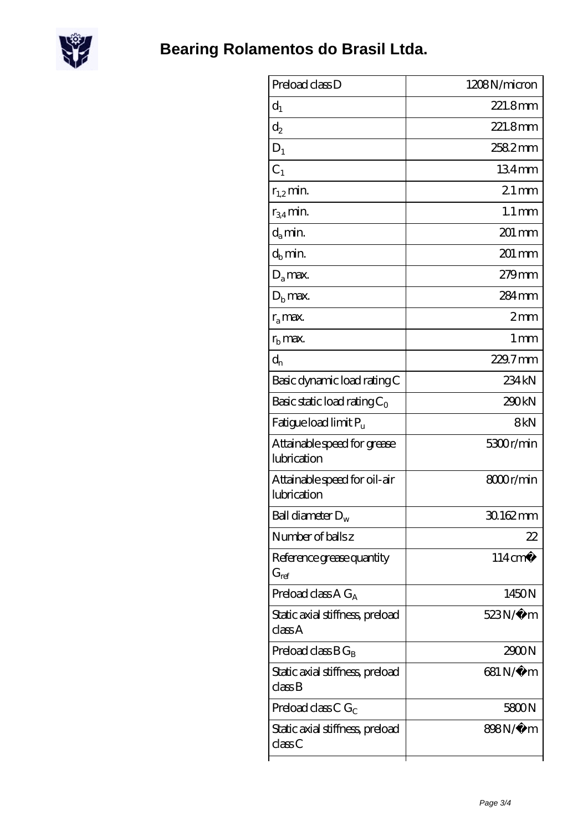

| Preload class D                                          | 1208N/micron        |
|----------------------------------------------------------|---------------------|
| $d_1$                                                    | 221.8mm             |
| $d_2$                                                    | 221.8mm             |
| $D_1$                                                    | 2582mm              |
| C <sub>1</sub>                                           | 134mm               |
| $r_{1,2}$ min.                                           | $21$ mm             |
| $r_{34}$ min.                                            | $1.1 \,\mathrm{mm}$ |
| $d_a$ min.                                               | $201 \,\mathrm{mm}$ |
| $d_h$ min.                                               | 201 mm              |
| $D_a$ max.                                               | 279mm               |
| $Db$ max.                                                | $284 \,\mathrm{mm}$ |
| $r_a$ max.                                               | 2mm                 |
| $r_{\rm b}$ max.                                         | $1 \,\mathrm{mm}$   |
| $d_{n}$                                                  | 229.7mm             |
| Basic dynamic load rating C                              | 234 kN              |
| Basic static load rating $C_0$                           | 290kN               |
| Fatigue load limit Pu                                    | 8kN                 |
| Attainable speed for grease<br>lubrication               | 5300r/min           |
| Attainable speed for oil-air<br>lubrication              | 8000r/min           |
| Ball diameter $D_w$                                      | 30.162mm            |
| Number of balls z                                        | 22                  |
| Reference grease quantity<br>$\mathrm{G}_{\mathrm{ref}}$ | $114 \text{ cm}^3$  |
| Preload class A $G_A$                                    | 1450N               |
| Static axial stiffness, preload<br>classA                | $523N/\mu$ m        |
| Preload class $BG_B$                                     | 2900N               |
| Static axial stiffness, preload<br>classB                | 681 N/μ m           |
| Preload class C $G_C$                                    | 5800N               |
| Static axial stiffness, preload<br>classC                | 898N/µ m            |